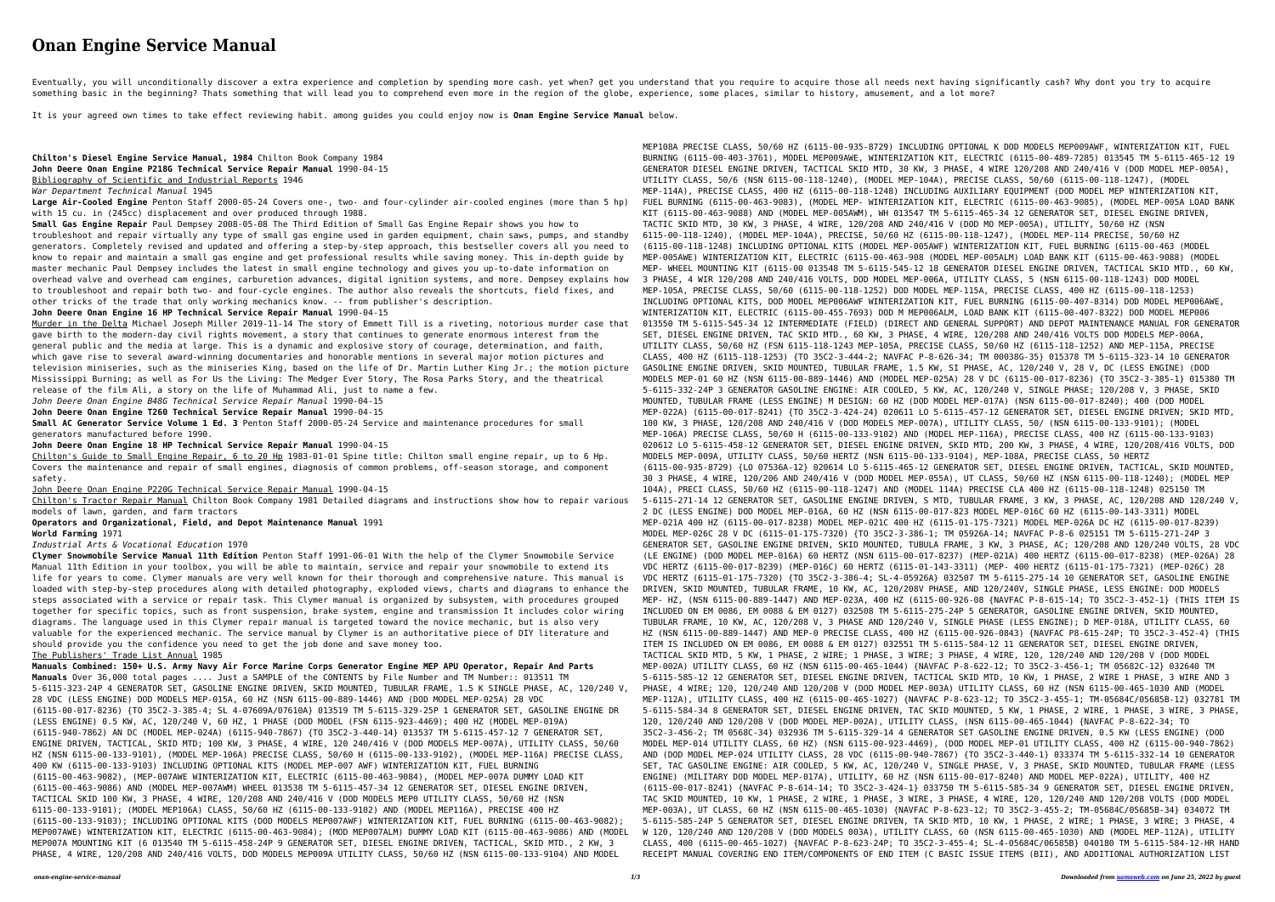## **Onan Engine Service Manual**

Eventually, you will unconditionally discover a extra experience and completion by spending more cash. yet when? get you understand that you require to acquire those all needs next having significantly cash? Why dont you t something basic in the beginning? Thats something that will lead you to comprehend even more in the region of the globe, experience, some places, similar to history, amusement, and a lot more?

It is your agreed own times to take effect reviewing habit. among guides you could enjoy now is **Onan Engine Service Manual** below.

**Chilton's Diesel Engine Service Manual, 1984** Chilton Book Company 1984 **John Deere Onan Engine P218G Technical Service Repair Manual** 1990-04-15 Bibliography of Scientific and Industrial Reports 1946 *War Department Technical Manual* 1945 **Large Air-Cooled Engine** Penton Staff 2000-05-24 Covers one-, two- and four-cylinder air-cooled engines (more than 5 hp) with 15 cu. in (245cc) displacement and over produced through 1988. **Small Gas Engine Repair** Paul Dempsey 2008-05-08 The Third Edition of Small Gas Engine Repair shows you how to troubleshoot and repair virtually any type of small gas engine used in garden equipment, chain saws, pumps, and standby generators. Completely revised and updated and offering a step-by-step approach, this bestseller covers all you need to know to repair and maintain a small gas engine and get professional results while saving money. This in-depth guide by master mechanic Paul Dempsey includes the latest in small engine technology and gives you up-to-date information on overhead valve and overhead cam engines, carburetion advances, digital ignition systems, and more. Dempsey explains how to troubleshoot and repair both two- and four-cycle engines. The author also reveals the shortcuts, field fixes, and other tricks of the trade that only working mechanics know. -- from publisher's description. **John Deere Onan Engine 16 HP Technical Service Repair Manual** 1990-04-15 Murder in the Delta Michael Joseph Miller 2019-11-14 The story of Emmett Till is a riveting, notorious murder case that gave birth to the modern-day civil rights movement, a story that continues to generate enormous interest from the general public and the media at large. This is a dynamic and explosive story of courage, determination, and faith, which gave rise to several award-winning documentaries and honorable mentions in several major motion pictures and television miniseries, such as the miniseries King, based on the life of Dr. Martin Luther King Jr.; the motion picture Mississippi Burning; as well as For Us the Living: The Medger Ever Story, The Rosa Parks Story, and the theatrical release of the film Ali, a story on the life of Muhammad Ali, just to name a few. *John Deere Onan Engine B48G Technical Service Repair Manual* 1990-04-15 **John Deere Onan Engine T260 Technical Service Repair Manual** 1990-04-15 **Small AC Generator Service Volume 1 Ed. 3** Penton Staff 2000-05-24 Service and maintenance procedures for small generators manufactured before 1990. **John Deere Onan Engine 18 HP Technical Service Repair Manual** 1990-04-15 Chilton's Guide to Small Engine Repair, 6 to 20 Hp 1983-01-01 Spine title: Chilton small engine repair, up to 6 Hp. Covers the maintenance and repair of small engines, diagnosis of common problems, off-season storage, and component safety. John Deere Onan Engine P220G Technical Service Repair Manual 1990-04-15 Chilton's Tractor Repair Manual Chilton Book Company 1981 Detailed diagrams and instructions show how to repair various models of lawn, garden, and farm tractors **Operators and Organizational, Field, and Depot Maintenance Manual** 1991 **World Farming** 1971 *Industrial Arts & Vocational Education* 1970 **Clymer Snowmobile Service Manual 11th Edition** Penton Staff 1991-06-01 With the help of the Clymer Snowmobile Service Manual 11th Edition in your toolbox, you will be able to maintain, service and repair your snowmobile to extend its life for years to come. Clymer manuals are very well known for their thorough and comprehensive nature. This manual is loaded with step-by-step procedures along with detailed photography, exploded views, charts and diagrams to enhance the steps associated with a service or repair task. This Clymer manual is organized by subsystem, with procedures grouped together for specific topics, such as front suspension, brake system, engine and transmission It includes color wiring diagrams. The language used in this Clymer repair manual is targeted toward the novice mechanic, but is also very valuable for the experienced mechanic. The service manual by Clymer is an authoritative piece of DIY literature and should provide you the confidence you need to get the job done and save money too. The Publishers' Trade List Annual 1985 **Manuals Combined: 150+ U.S. Army Navy Air Force Marine Corps Generator Engine MEP APU Operator, Repair And Parts Manuals** Over 36,000 total pages .... Just a SAMPLE of the CONTENTS by File Number and TM Number:: 013511 TM 5-6115-323-24P 4 GENERATOR SET, GASOLINE ENGINE DRIVEN, SKID MOUNTED, TUBULAR FRAME, 1.5 K SINGLE PHASE, AC, 120/240 V, 28 VDC (LESS ENGINE) DOD MODELS MEP-015A, 60 HZ (NSN 6115-00-889-1446) AND (DOD MODEL MEP-025A) 28 VDC (6115-00-017-8236) {TO 35C2-3-385-4; SL 4-07609A/07610A} 013519 TM 5-6115-329-25P 1 GENERATOR SET, GASOLINE ENGINE DR (LESS ENGINE) 0.5 KW, AC, 120/240 V, 60 HZ, 1 PHASE (DOD MODEL (FSN 6115-923-4469); 400 HZ (MODEL MEP-019A) (6115-940-7862) AN DC (MODEL MEP-024A) (6115-940-7867) {TO 35C2-3-440-14} 013537 TM 5-6115-457-12 7 GENERATOR SET, ENGINE DRIVEN, TACTICAL, SKID MTD; 100 KW, 3 PHASE, 4 WIRE, 120 240/416 V (DOD MODELS MEP-007A), UTILITY CLASS, 50/60 HZ (NSN 6115-00-133-9101), (MODEL MEP-106A) PRECISE CLASS, 50/60 H (6115-00-133-9102), (MODEL MEP-116A) PRECISE CLASS, 400 KW (6115-00-133-9103) INCLUDING OPTIONAL KITS (MODEL MEP-007 AWF) WINTERIZATION KIT, FUEL BURNING (6115-00-463-9082), (MEP-007AWE WINTERIZATION KIT, ELECTRIC (6115-00-463-9084), (MODEL MEP-007A DUMMY LOAD KIT (6115-00-463-9086) AND (MODEL MEP-007AWM) WHEEL 013538 TM 5-6115-457-34 12 GENERATOR SET, DIESEL ENGINE DRIVEN, TACTICAL SKID 100 KW, 3 PHASE, 4 WIRE, 120/208 AND 240/416 V (DOD MODELS MEP0 UTILITY CLASS, 50/60 HZ (NSN 6115-00-133-9101); (MODEL MEP106A) CLASS, 50/60 HZ (6115-00-133-9102) AND (MODEL MEP116A), PRECISE 400 HZ (6115-00-133-9103); INCLUDING OPTIONAL KITS (DOD MODELS MEP007AWF) WINTERIZATION KIT, FUEL BURNING (6115-00-463-9082); MEP007AWE) WINTERIZATION KIT, ELECTRIC (6115-00-463-9084); (MOD MEP007ALM) DUMMY LOAD KIT (6115-00-463-9086) AND (MODEL MEP007A MOUNTING KIT (6 013540 TM 5-6115-458-24P 9 GENERATOR SET, DIESEL ENGINE DRIVEN, TACTICAL, SKID MTD., 2 KW, 3 PHASE, 4 WIRE, 120/208 AND 240/416 VOLTS, DOD MODELS MEP009A UTILITY CLASS, 50/60 HZ (NSN 6115-00-133-9104) AND MODEL MEP108A PRECISE CLASS, 50/60 HZ (6115-00-935-8729) INCLUDING OPTIONAL K DOD MODELS MEP009AWF, WINTERIZATION KIT, FUEL BURNING (6115-00-403-3761), MODEL MEP009AWE, WINTERIZATION KIT, ELECTRIC (6115-00-489-7285) 013545 TM 5-6115-465-12 19 GENERATOR DIESEL ENGINE DRIVEN, TACTICAL SKID MTD, 30 KW, 3 PHASE, 4 WIRE 120/208 AND 240/416 V (DOD MODEL MEP-005A), UTILITY CLASS, 50/6 (NSN 6115-00-118-1240), (MODEL MEP-104A), PRECISE CLASS, 50/60 (6115-00-118-1247), (MODEL MEP-114A), PRECISE CLASS, 400 HZ (6115-00-118-1248) INCLUDING AUXILIARY EQUIPMENT (DOD MODEL MEP WINTERIZATION KIT, FUEL BURNING (6115-00-463-9083), (MODEL MEP- WINTERIZATION KIT, ELECTRIC (6115-00-463-9085), (MODEL MEP-005A LOAD BANK KIT (6115-00-463-9088) AND (MODEL MEP-005AWM), WH 013547 TM 5-6115-465-34 12 GENERATOR SET, DIESEL ENGINE DRIVEN, TACTIC SKID MTD, 30 KW, 3 PHASE, 4 WIRE, 120/208 AND 240/416 V (DOD MO MEP-005A), UTILITY, 50/60 HZ (NSN 6115-00-118-1240), (MODEL MEP-104A), PRECISE, 50/60 HZ (6115-00-118-1247), (MODEL MEP-114 PRECISE, 50/60 HZ (6115-00-118-1248) INCLUDING OPTIONAL KITS (MODEL MEP-005AWF) WINTERIZATION KIT, FUEL BURNING (6115-00-463 (MODEL MEP-005AWE) WINTERIZATION KIT, ELECTRIC (6115-00-463-908 (MODEL MEP-005ALM) LOAD BANK KIT (6115-00-463-9088) (MODEL MEP- WHEEL MOUNTING KIT (6115-00 013548 TM 5-6115-545-12 18 GENERATOR DIESEL ENGINE DRIVEN, TACTICAL SKID MTD., 60 KW, 3 PHASE, 4 WIR 120/208 AND 240/416 VOLTS, DOD MODEL MEP-006A, UTILITY CLASS, 5 (NSN 6115-00-118-1243) DOD MODEL MEP-105A, PRECISE CLASS, 50/60 (6115-00-118-1252) DOD MODEL MEP-115A, PRECISE CLASS, 400 HZ (6115-00-118-1253) INCLUDING OPTIONAL KITS, DOD MODEL MEP006AWF WINTERIZATION KIT, FUEL BURNING (6115-00-407-8314) DOD MODEL MEP006AWE, WINTERIZATION KIT, ELECTRIC (6115-00-455-7693) DOD M MEP006ALM, LOAD BANK KIT (6115-00-407-8322) DOD MODEL MEP006 013550 TM 5-6115-545-34 12 INTERMEDIATE (FIELD) (DIRECT AND GENERAL SUPPORT) AND DEPOT MAINTENANCE MANUAL FOR GENERATOR SET, DIESEL ENGINE DRIVEN, TAC SKID MTD., 60 KW, 3 PHASE, 4 WIRE, 120/208 AND 240/416 VOLTS DOD MODELS MEP-006A, UTILITY CLASS, 50/60 HZ (FSN 6115-118-1243 MEP-105A, PRECISE CLASS, 50/60 HZ (6115-118-1252) AND MEP-115A, PRECISE CLASS, 400 HZ (6115-118-1253) {TO 35C2-3-444-2; NAVFAC P-8-626-34; TM 00038G-35} 015378 TM 5-6115-323-14 10 GENERATOR GASOLINE ENGINE DRIVEN, SKID MOUNTED, TUBULAR FRAME, 1.5 KW, SI PHASE, AC, 120/240 V, 28 V, DC (LESS ENGINE) (DOD MODELS MEP-01 60 HZ (NSN 6115-00-889-1446) AND (MODEL MEP-025A) 28 V DC (6115-00-017-8236) {TO 35C2-3-385-1} 015380 TM 5-6115-332-24P 3 GENERATOR GASOLINE ENGINE: AIR COOLED, 5 KW, AC, 120/240 V, SINGLE PHASE; 120/208 V, 3 PHASE, SKID MOUNTED, TUBULAR FRAME (LESS ENGINE) M DESIGN: 60 HZ (DOD MODEL MEP-017A) (NSN 6115-00-017-8240); 400 (DOD MODEL MEP-022A) (6115-00-017-8241) {TO 35C2-3-424-24} 020611 LO 5-6115-457-12 GENERATOR SET, DIESEL ENGINE DRIVEN; SKID MTD, 100 KW, 3 PHASE, 120/208 AND 240/416 V (DOD MODELS MEP-007A), UTILITY CLASS, 50/ (NSN 6115-00-133-9101); (MODEL MEP-106A) PRECISE CLASS, 50/60 H (6115-00-133-9102) AND (MODEL MEP-116A), PRECISE CLASS, 400 HZ (6115-00-133-9103) 020612 LO 5-6115-458-12 GENERATOR SET, DIESEL ENGINE DRIVEN, SKID MTD, 200 KW, 3 PHASE, 4 WIRE, 120/208/416 VOLTS, DOD MODELS MEP-009A, UTILITY CLASS, 50/60 HERTZ (NSN 6115-00-133-9104), MEP-108A, PRECISE CLASS, 50 HERTZ (6115-00-935-8729) {LO 07536A-12} 020614 LO 5-6115-465-12 GENERATOR SET, DIESEL ENGINE DRIVEN, TACTICAL, SKID MOUNTED, 30 3 PHASE, 4 WIRE, 120/206 AND 240/416 V (DOD MODEL MEP-055A), UT CLASS, 50/60 HZ (NSN 6115-00-118-1240); (MODEL MEP 104A), PRECI CLASS, 50/60 HZ (6115-00-118-1247) AND (MODEL 114A) PRECISE CLA 400 HZ (6115-00-118-1248) 025150 TM 5-6115-271-14 12 GENERATOR SET, GASOLINE ENGINE DRIVEN, S MTD, TUBULAR FRAME, 3 KW, 3 PHASE, AC, 120/208 AND 120/240 V, 2 DC (LESS ENGINE) DOD MODEL MEP-016A, 60 HZ (NSN 6115-00-017-823 MODEL MEP-016C 60 HZ (6115-00-143-3311) MODEL MEP-021A 400 HZ (6115-00-017-8238) MODEL MEP-021C 400 HZ (6115-01-175-7321) MODEL MEP-026A DC HZ (6115-00-017-8239) MODEL MEP-026C 28 V DC (6115-01-175-7320) {TO 35C2-3-386-1; TM 05926A-14; NAVFAC P-8-6 025151 TM 5-6115-271-24P 3 GENERATOR SET, GASOLINE ENGINE DRIVEN, SKID MOUNTED, TUBULA FRAME, 3 KW, 3 PHASE, AC; 120/208 AND 120/240 VOLTS, 28 VDC (LE ENGINE) (DOD MODEL MEP-016A) 60 HERTZ (NSN 6115-00-017-8237) (MEP-021A) 400 HERTZ (6115-00-017-8238) (MEP-026A) 28 VDC HERTZ (6115-00-017-8239) (MEP-016C) 60 HERTZ (6115-01-143-3311) (MEP- 400 HERTZ (6115-01-175-7321) (MEP-026C) 28 VDC HERTZ (6115-01-175-7320) {TO 35C2-3-386-4; SL-4-05926A} 032507 TM 5-6115-275-14 10 GENERATOR SET, GASOLINE ENGINE DRIVEN, SKID MOUNTED, TUBULAR FRAME, 10 KW, AC, 120/208V PHASE, AND 120/240V, SINGLE PHASE, LESS ENGINE: DOD MODELS MEP- HZ, (NSN 6115-00-889-1447) AND MEP-023A, 400 HZ (6115-00-926-08 {NAVFAC P-8-615-14; TO 35C2-3-452-1} (THIS ITEM IS INCLUDED ON EM 0086, EM 0088 & EM 0127) 032508 TM 5-6115-275-24P 5 GENERATOR, GASOLINE ENGINE DRIVEN, SKID MOUNTED, TUBULAR FRAME, 10 KW, AC, 120/208 V, 3 PHASE AND 120/240 V, SINGLE PHASE (LESS ENGINE); D MEP-018A, UTILITY CLASS, 60 HZ (NSN 6115-00-889-1447) AND MEP-0 PRECISE CLASS, 400 HZ (6115-00-926-0843) {NAVFAC P8-615-24P; TO 35C2-3-452-4} (THIS ITEM IS INCLUDED ON EM 0086, EM 0088 & EM 0127) 032551 TM 5-6115-584-12 11 GENERATOR SET, DIESEL ENGINE DRIVEN, TACTICAL SKID MTD, 5 KW, 1 PHASE, 2 WIRE; 1 PHASE, 3 WIRE; 3 PHASE, 4 WIRE, 120, 120/240 AND 120/208 V (DOD MODEL MEP-002A) UTILITY CLASS, 60 HZ (NSN 6115-00-465-1044) {NAVFAC P-8-622-12; TO 35C2-3-456-1; TM 05682C-12} 032640 TM 5-6115-585-12 12 GENERATOR SET, DIESEL ENGINE DRIVEN, TACTICAL SKID MTD, 10 KW, 1 PHASE, 2 WIRE 1 PHASE, 3 WIRE AND 3 PHASE, 4 WIRE; 120, 120/240 AND 120/208 V (DOD MODEL MEP-003A) UTILITY CLASS, 60 HZ (NSN 6115-00-465-1030 AND (MODEL MEP-112A), UTILITY CLASS, 400 HZ (6115-00-465-1027) {NAVFAC P-8-623-12; TO 35C2-3-455-1; TM-05684C/05685B-12} 032781 TM 5-6115-584-34 8 GENERATOR SET, DIESEL ENGINE DRIVEN, TAC SKID MOUNTED, 5 KW, 1 PHASE, 2 WIRE, 1 PHASE, 3 WIRE, 3 PHASE, 120, 120/240 AND 120/208 V (DOD MODEL MEP-002A), UTILITY CLASS, (NSN 6115-00-465-1044) {NAVFAC P-8-622-34; TO 35C2-3-456-2; TM 0568C-34} 032936 TM 5-6115-329-14 4 GENERATOR SET GASOLINE ENGINE DRIVEN, 0.5 KW (LESS ENGINE) (DOD MODEL MEP-014 UTILITY CLASS, 60 HZ) (NSN 6115-00-923-4469), (DOD MODEL MEP-01 UTILITY CLASS, 400 HZ (6115-00-940-7862) AND (DOD MODEL MEP-024 UTILITY CLASS, 28 VDC (6115-00-940-7867) {TO 35C2-3-440-1} 033374 TM 5-6115-332-14 10 GENERATOR SET, TAC GASOLINE ENGINE: AIR COOLED, 5 KW, AC, 120/240 V, SINGLE PHASE, V, 3 PHASE, SKID MOUNTED, TUBULAR FRAME (LESS ENGINE) (MILITARY DOD MODEL MEP-017A), UTILITY, 60 HZ (NSN 6115-00-017-8240) AND MODEL MEP-022A), UTILITY, 400 HZ (6115-00-017-8241) {NAVFAC P-8-614-14; TO 35C2-3-424-1} 033750 TM 5-6115-585-34 9 GENERATOR SET, DIESEL ENGINE DRIVEN, TAC SKID MOUNTED, 10 KW, 1 PHASE, 2 WIRE, 1 PHASE, 3 WIRE, 3 PHASE, 4 WIRE, 120, 120/240 AND 120/208 VOLTS (DOD MODEL MEP-003A), UT CLASS, 60 HZ (NSN 6115-00-465-1030) {NAVFAC P-8-623-12; TO 35C2-3-455-2; TM-05684C/05685B-34} 034072 TM 5-6115-585-24P 5 GENERATOR SET, DIESEL ENGINE DRIVEN, TA SKID MTD, 10 KW, 1 PHASE, 2 WIRE; 1 PHASE, 3 WIRE; 3 PHASE, 4 W 120, 120/240 AND 120/208 V (DOD MODELS 003A), UTILITY CLASS, 60 (NSN 6115-00-465-1030) AND (MODEL MEP-112A), UTILITY CLASS, 400 (6115-00-465-1027) {NAVFAC P-8-623-24P; TO 35C2-3-455-4; SL-4-05684C/06585B} 040180 TM 5-6115-584-12-HR HAND RECEIPT MANUAL COVERING END ITEM/COMPONENTS OF END ITEM (C BASIC ISSUE ITEMS (BII), AND ADDITIONAL AUTHORIZATION LIST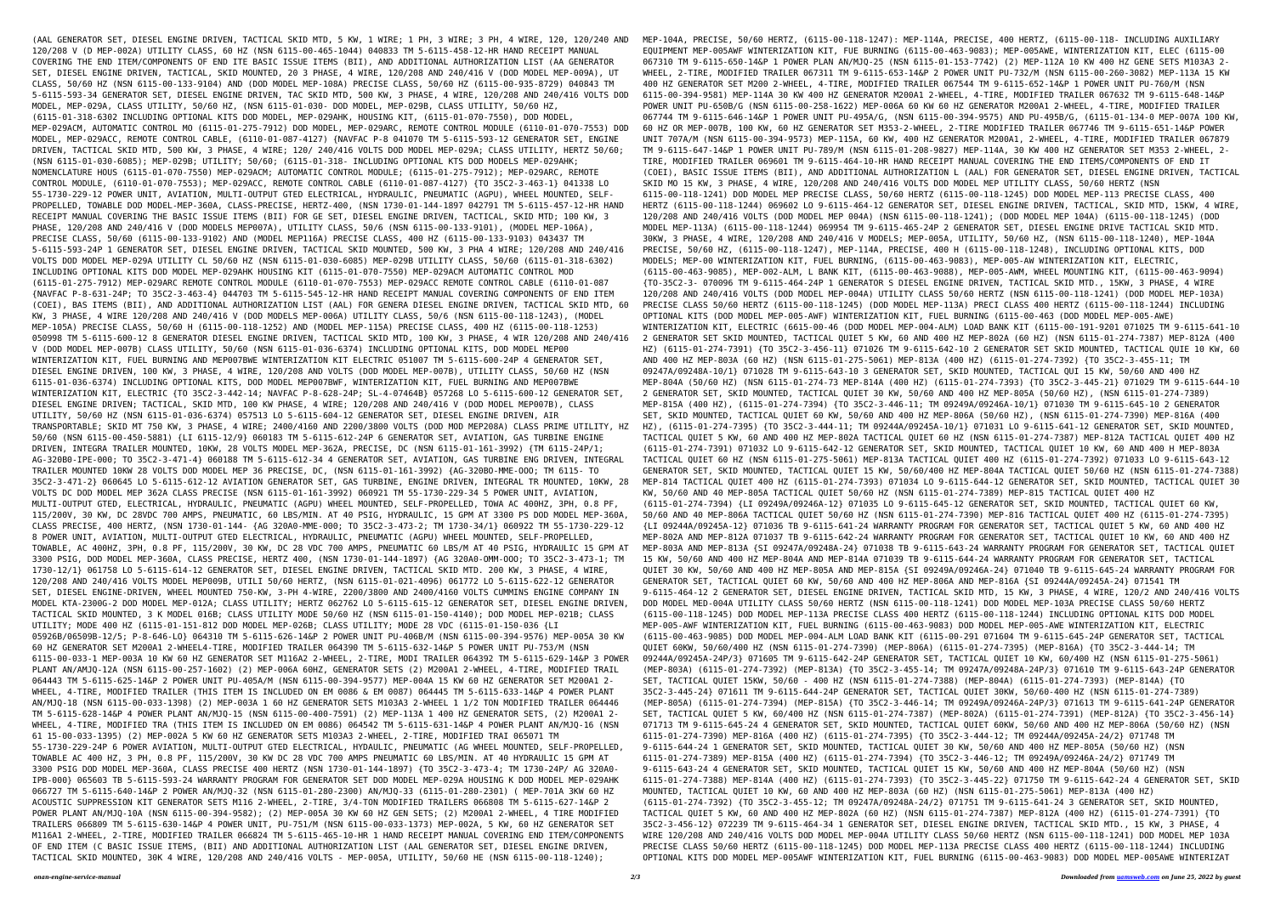(AAL GENERATOR SET, DIESEL ENGINE DRIVEN, TACTICAL SKID MTD, 5 KW, 1 WIRE; 1 PH, 3 WIRE; 3 PH, 4 WIRE, 120, 120/240 AND 120/208 V (D MEP-002A) UTILITY CLASS, 60 HZ (NSN 6115-00-465-1044) 040833 TM 5-6115-458-12-HR HAND RECEIPT MANUAL COVERING THE END ITEM/COMPONENTS OF END ITE BASIC ISSUE ITEMS (BII), AND ADDITIONAL AUTHORIZATION LIST (AA GENERATOR SET, DIESEL ENGINE DRIVEN, TACTICAL, SKID MOUNTED, 20 3 PHASE, 4 WIRE, 120/208 AND 240/416 V (DOD MODEL MEP-009A), UT CLASS, 50/60 HZ (NSN 6115-00-133-9104) AND (DOD MODEL MEP-108A) PRECISE CLASS, 50/60 HZ (6115-00-935-8729) 040843 TM 5-6115-593-34 GENERATOR SET, DIESEL ENGINE DRIVEN, TAC SKID MTD, 500 KW, 3 PHASE, 4 WIRE, 120/208 AND 240/416 VOLTS DOD MODEL, MEP-029A, CLASS UTILITY, 50/60 HZ, (NSN 6115-01-030- DOD MODEL, MEP-029B, CLASS UTILITY, 50/60 HZ, (6115-01-318-6302 INCLUDING OPTIONAL KITS DOD MODEL, MEP-029AHK, HOUSING KIT, (6115-01-070-7550), DOD MODEL, MEP-029ACM, AUTOMATIC CONTROL MO (6115-01-275-7912) DOD MODEL, MEP-029ARC, REMOTE CONTROL MODULE (6110-01-070-7553) DOD MODEL, MEP-029ACC, REMOTE CONTROL CABLE, (6110-01-087-4127) {NAVFAC P-8 041070 TM 5-6115-593-12 GENERATOR SET, ENGINE DRIVEN, TACTICAL SKID MTD, 500 KW, 3 PHASE, 4 WIRE; 120/ 240/416 VOLTS DOD MODEL MEP-029A; CLASS UTILITY, HERTZ 50/60; (NSN 6115-01-030-6085); MEP-029B; UTILITY; 50/60; (6115-01-318- INCLUDING OPTIONAL KTS DOD MODELS MEP-029AHK; NOMENCLATURE HOUS (6115-01-070-7550) MEP-029ACM; AUTOMATIC CONTROL MODULE; (6115-01-275-7912); MEP-029ARC, REMOTE CONTROL MODULE, (6110-01-070-7553); MEP-029ACC, REMOTE CONTROL CABLE (6110-01-087-4127) {TO 35C2-3-463-1} 041338 LO 55-1730-229-12 POWER UNIT, AVIATION, MULTI-OUTPUT GTED ELECTRICAL, HYDRAULIC, PNEUMATIC (AGPU), WHEEL MOUNTED, SELF-PROPELLED, TOWABLE DOD MODEL-MEP-360A, CLASS-PRECISE, HERTZ-400, (NSN 1730-01-144-1897 042791 TM 5-6115-457-12-HR HAND RECEIPT MANUAL COVERING THE BASIC ISSUE ITEMS (BII) FOR GE SET, DIESEL ENGINE DRIVEN, TACTICAL, SKID MTD; 100 KW, 3 PHASE, 120/208 AND 240/416 V (DOD MODELS MEP007A), UTILITY CLASS, 50/6 (NSN 6115-00-133-9101), (MODEL MEP-106A), PRECISE CLASS, 50/60 (6115-00-133-9102) AND (MODEL MEP116A) PRECISE CLASS, 400 HZ (6115-00-133-9103) 043437 TM 5-6115-593-24P 1 GENERATOR SET, DIESEL ENGINE DRIVEN, TACTICAL SKID MOUNTED, 500 KW, 3 PHA 4 WIRE; 120/208 AND 240/416 VOLTS DOD MODEL MEP-029A UTILITY CL 50/60 HZ (NSN 6115-01-030-6085) MEP-029B UTILITY CLASS, 50/60 (6115-01-318-6302) INCLUDING OPTIONAL KITS DOD MODEL MEP-029AHK HOUSING KIT (6115-01-070-7550) MEP-029ACM AUTOMATIC CONTROL MOD (6115-01-275-7912) MEP-029ARC REMOTE CONTROL MODULE (6110-01-070-7553) MEP-029ACC REMOTE CONTROL CABLE (6110-01-087 {NAVFAC P-8-631-24P; TO 35C2-3-463-4} 044703 TM 5-6115-545-12-HR HAND RECEIPT MANUAL COVERING COMPONENTS OF END ITEM (COEI), BAS ITEMS (BII), AND ADDITIONAL AUTHORIZATION LIST (AAL) FOR GENERA DIESEL ENGINE DRIVEN, TACTICAL SKID MTD, 60 KW, 3 PHASE, 4 WIRE 120/208 AND 240/416 V (DOD MODELS MEP-006A) UTILITY CLASS, 50/6 (NSN 6115-00-118-1243), (MODEL MEP-105A) PRECISE CLASS, 50/60 H (6115-00-118-1252) AND (MODEL MEP-115A) PRECISE CLASS, 400 HZ (6115-00-118-1253) 050998 TM 5-6115-600-12 8 GENERATOR DIESEL ENGINE DRIVEN, TACTICAL SKID MTD, 100 KW, 3 PHASE, 4 WIR 120/208 AND 240/416 V (DOD MODEL MEP-007B) CLASS UTILITY, 50/60 (NSN 6115-01-036-6374) INCLUDING OPTIONAL KITS, DOD MODEL MEP00 WINTERIZATION KIT, FUEL BURNING AND MEP007BWE WINTERIZATION KIT ELECTRIC 051007 TM 5-6115-600-24P 4 GENERATOR SET, DIESEL ENGINE DRIVEN, 100 KW, 3 PHASE, 4 WIRE, 120/208 AND VOLTS (DOD MODEL MEP-007B), UTILITY CLASS, 50/60 HZ (NSN 6115-01-036-6374) INCLUDING OPTIONAL KITS, DOD MODEL MEP007BWF, WINTERIZATION KIT, FUEL BURNING AND MEP007BWE WINTERIZATION KIT, ELECTRIC {TO 35C2-3-442-14; NAVFAC P-8-628-24P; SL-4-07464B} 057268 LO 5-6115-600-12 GENERATOR SET, DIESEL ENGINE DRIVEN; TACTICAL, SKID MTD, 100 KW PHASE, 4 WIRE; 120/208 AND 240/416 V (DOD MODEL MEP007B), CLASS UTILITY, 50/60 HZ (NSN 6115-01-036-6374) 057513 LO 5-6115-604-12 GENERATOR SET, DIESEL ENGINE DRIVEN, AIR TRANSPORTABLE; SKID MT 750 KW, 3 PHASE, 4 WIRE; 2400/4160 AND 2200/3800 VOLTS (DOD MOD MEP208A) CLASS PRIME UTILITY, HZ 50/60 (NSN 6115-00-450-5881) {LI 6115-12/9} 060183 TM 5-6115-612-24P 6 GENERATOR SET, AVIATION, GAS TURBINE ENGINE DRIVEN, INTEGRA TRAILER MOUNTED, 10KW, 28 VOLTS MODEL MEP-362A, PRECISE, DC (NSN 6115-01-161-3992) {TM 6115-24P/1; AG-320B0-IPE-000; TO 35C2-3-471-4} 060188 TM 5-6115-612-34 4 GENERATOR SET, AVIATION, GAS TURBINE ENG DRIVEN, INTEGRAL TRAILER MOUNTED 10KW 28 VOLTS DOD MODEL MEP 36 PRECISE, DC, (NSN 6115-01-161-3992) {AG-320BO-MME-OOO; TM 6115- TO 35C2-3-471-2} 060645 LO 5-6115-612-12 AVIATION GENERATOR SET, GAS TURBINE, ENGINE DRIVEN, INTEGRAL TR MOUNTED, 10KW, 28 VOLTS DC DOD MODEL MEP 362A CLASS PRECISE (NSN 6115-01-161-3992) 060921 TM 55-1730-229-34 5 POWER UNIT, AVIATION, MULTI-OUTPUT GTED, ELECTRICAL, HYDRAULIC, PNEUMATIC (AGPU) WHEEL MOUNTED, SELF-PROPELLED, TOWA AC 400HZ, 3PH, 0.8 PF, 115/200V, 30 KW, DC 28VDC 700 AMPS, PNEUMATIC, 60 LBS/MIN. AT 40 PSIG, HYDRAULIC, 15 GPM AT 3300 PS DOD MODEL MEP-360A, CLASS PRECISE, 400 HERTZ, (NSN 1730-01-144- {AG 320A0-MME-000; TO 35C2-3-473-2; TM 1730-34/1} 060922 TM 55-1730-229-12 8 POWER UNIT, AVIATION, MULTI-OUTPUT GTED ELECTRICAL, HYDRAULIC, PNEUMATIC (AGPU) WHEEL MOUNTED, SELF-PROPELLED, TOWABLE, AC 400HZ, 3PH, 0.8 PF, 115/200V, 30 KW, DC 28 VDC 700 AMPS, PNEUMATIC 60 LBS/M AT 40 PSIG, HYDRAULIC 15 GPM AT 3300 PSIG, DOD MODEL MEP-360A, CLASS PRECISE, HERTZ 400, (NSN 1730-01-144-1897) {AG 320A0-OMM-OOO; TO 35C2-3-473-1; TM 1730-12/1} 061758 LO 5-6115-614-12 GENERATOR SET, DIESEL ENGINE DRIVEN, TACTICAL SKID MTD. 200 KW, 3 PHASE, 4 WIRE, 120/208 AND 240/416 VOLTS MODEL MEP009B, UTILI 50/60 HERTZ, (NSN 6115-01-021-4096) 061772 LO 5-6115-622-12 GENERATOR SET, DIESEL ENGINE-DRIVEN, WHEEL MOUNTED 750-KW, 3-PH 4-WIRE, 2200/3800 AND 2400/4160 VOLTS CUMMINS ENGINE COMPANY IN MODEL KTA-2300G-2 DOD MODEL MEP-012A; CLASS UTILITY; HERTZ 062762 LO 5-6115-615-12 GENERATOR SET, DIESEL ENGINE DRIVEN, TACTICAL SKID MOUNTED, 3 K MODEL 016B; CLASS UTILITY MODE 50/60 HZ (NSN 6115-01-150-4140); DOD MODEL MEP-021B; CLASS UTILITY; MODE 400 HZ (6115-01-151-812 DOD MODEL MEP-026B; CLASS UTILITY; MODE 28 VDC (6115-01-150-036 {LI 05926B/06509B-12/5; P-8-646-LO} 064310 TM 5-6115-626-14&P 2 POWER UNIT PU-406B/M (NSN 6115-00-394-9576) MEP-005A 30 KW 60 HZ GENERATOR SET M200A1 2-WHEEL4-TIRE, MODIFIED TRAILER 064390 TM 5-6115-632-14&P 5 POWER UNIT PU-753/M (NSN 6115-00-033-1 MEP-003A 10 KW 60 HZ GENERATOR SET M116A2 2-WHEEL, 2-TIRE, MODI TRAILER 064392 TM 5-6115-629-14&P 3 POWER PLANT AN/AMJQ-12A (NSN 6115-00-257-1602) (2) MEP-006A 60HZ, GENERATOR SETS (2) M200A1 2-WHEEL, 4-TIRE, MODIFIED TRAIL 064443 TM 5-6115-625-14&P 2 POWER UNIT PU-405A/M (NSN 6115-00-394-9577) MEP-004A 15 KW 60 HZ GENERATOR SET M200A1 2- WHEEL, 4-TIRE, MODIFIED TRAILER (THIS ITEM IS INCLUDED ON EM 0086 & EM 0087) 064445 TM 5-6115-633-14&P 4 POWER PLANT AN/MJQ-18 (NSN 6115-00-033-1398) (2) MEP-003A 1 60 HZ GENERATOR SETS M103A3 2-WHEEL 1 1/2 TON MODIFIED TRAILER 064446 TM 5-6115-628-14&P 4 POWER PLANT AN/MJQ-15 (NSN 6115-00-400-7591) (2) MEP-113A 1 400 HZ GENERATOR SETS, (2) M200A1 2- WHEEL, 4-TIRE, MODIFIED TRA (THIS ITEM IS INCLUDED ON EM 0086) 064542 TM 5-6115-631-14&P 4 POWER PLANT AN/MJQ-16 (NSN 61 15-00-033-1395) (2) MEP-002A 5 KW 60 HZ GENERATOR SETS M103A3 2-WHEEL, 2-TIRE, MODIFIED TRAI 065071 TM 55-1730-229-24P 6 POWER AVIATION, MULTI-OUTPUT GTED ELECTRICAL, HYDAULIC, PNEUMATIC (AG WHEEL MOUNTED, SELF-PROPELLED, TOWABLE AC 400 HZ, 3 PH, 0.8 PF, 115/200V, 30 KW DC 28 VDC 700 AMPS PNEUMATIC 60 LBS/MIN. AT 40 HYDRAULIC 15 GPM AT 3300 PSIG DOD MODEL MEP-360A, CLASS PRECISE 400 HERTZ (NSN 1730-01-144-1897) {TO 35C2-3-473-4; TM 1730-24P/ AG 320A0- IPB-000} 065603 TB 5-6115-593-24 WARRANTY PROGRAM FOR GENERATOR SET DOD MODEL MEP-029A HOUSING K DOD MODEL MEP-029AHK 066727 TM 5-6115-640-14&P 2 POWER AN/MJQ-32 (NSN 6115-01-280-2300) AN/MJQ-33 (6115-01-280-2301) ( MEP-701A 3KW 60 HZ ACOUSTIC SUPPRESSION KIT GENERATOR SETS M116 2-WHEEL, 2-TIRE, 3/4-TON MODIFIED TRAILERS 066808 TM 5-6115-627-14&P 2 POWER PLANT AN/MJQ-10A (NSN 6115-00-394-9582); (2) MEP-005A 30 KW 60 HZ GEN SETS; (2) M200A1 2-WHEEL, 4 TIRE MODIFIED TRAILERS 066809 TM 5-6115-630-14&P 4 POWER UNIT, PU-751/M (NSN 6115-00-033-1373) MEP-002A, 5 KW, 60 HZ GENERATOR SET M116A1 2-WHEEL, 2-TIRE, MODIFIED TRAILER 066824 TM 5-6115-465-10-HR 1 HAND RECEIPT MANUAL COVERING END ITEM/COMPONENTS OF END ITEM (C BASIC ISSUE ITEMS, (BII) AND ADDITIONAL AUTHORIZATION LIST (AAL GENERATOR SET, DIESEL ENGINE DRIVEN, TACTICAL SKID MOUNTED, 30K 4 WIRE, 120/208 AND 240/416 VOLTS - MEP-005A, UTILITY, 50/60 HE (NSN 6115-00-118-1240); MEP-104A, PRECISE, 50/60 HERTZ, (6115-00-118-1247): MEP-114A, PRECISE, 400 HERTZ, (6115-00-118- INCLUDING AUXILIARY EQUIPMENT MEP-005AWF WINTERIZATION KIT, FUE BURNING (6115-00-463-9083); MEP-005AWE, WINTERIZATION KIT, ELEC (6115-00 067310 TM 9-6115-650-14&P 1 POWER PLAN AN/MJQ-25 (NSN 6115-01-153-7742) (2) MEP-112A 10 KW 400 HZ GENE SETS M103A3 2- WHEEL, 2-TIRE, MODIFIED TRAILER 067311 TM 9-6115-653-14&P 2 POWER UNIT PU-732/M (NSN 6115-00-260-3082) MEP-113A 15 KW 400 HZ GENERATOR SET M200 2-WHEEL, 4-TIRE, MODIFIED TRAILER 067544 TM 9-6115-652-14&P 1 POWER UNIT PU-760/M (NSN 6115-00-394-9581) MEP-114A 30 KW 400 HZ GENERATOR M200A1 2-WHEEL, 4-TIRE, MODIFIED TRAILER 067632 TM 9-6115-648-14&P POWER UNIT PU-650B/G (NSN 6115-00-258-1622) MEP-006A 60 KW 60 HZ GENERATOR M200A1 2-WHEEL, 4-TIRE, MODIFIED TRAILER 067744 TM 9-6115-646-14&P 1 POWER UNIT PU-495A/G, (NSN 6115-00-394-9575) AND PU-495B/G, (6115-01-134-0 MEP-007A 100 KW, 60 HZ OR MEP-007B, 100 KW, 60 HZ GENERATOR SET M353-2-WHEEL, 2-TIRE MODIFIED TRAILER 067746 TM 9-6115-651-14&P POWER UNIT 707A/M (NSN 6115-00-394-9573) MEP-115A, 60 KW, 400 HZ GENERATOR M200A1, 2-WHEEL, 4-TIRE, MODIFIED TRAILER 067879 TM 9-6115-647-14&P 1 POWER UNIT PU-789/M (NSN 6115-01-208-9827) MEP-114A, 30 KW 400 HZ GENERATOR SET M353 2-WHEEL, 2- TIRE, MODIFIED TRAILER 069601 TM 9-6115-464-10-HR HAND RECEIPT MANUAL COVERING THE END ITEMS/COMPONENTS OF END IT (COEI), BASIC ISSUE ITEMS (BII), AND ADDITIONAL AUTHORIZATION L (AAL) FOR GENERATOR SET, DIESEL ENGINE DRIVEN, TACTICAL SKID MO 15 KW, 3 PHASE, 4 WIRE, 120/208 AND 240/416 VOLTS DOD MODEL MEP UTILITY CLASS, 50/60 HERTZ (NSN 6115-00-118-1241) DOD MODEL MEP PRECISE CLASS, 50/60 HERTZ (6115-00-118-1245) DOD MODEL MEP-113 PRECISE CLASS, 400 HERTZ (6115-00-118-1244) 069602 LO 9-6115-464-12 GENERATOR SET, DIESEL ENGINE DRIVEN, TACTICAL, SKID MTD, 15KW, 4 WIRE, 120/208 AND 240/416 VOLTS (DOD MODEL MEP 004A) (NSN 6115-00-118-1241); (DOD MODEL MEP 104A) (6115-00-118-1245) (DOD MODEL MEP-113A) (6115-00-118-1244) 069954 TM 9-6115-465-24P 2 GENERATOR SET, DIESEL ENGINE DRIVE TACTICAL SKID MTD. 30KW, 3 PHASE, 4 WIRE, 120/208 AND 240/416 V MODELS; MEP-005A, UTILITY, 50/60 HZ, (NSN 6115-00-118-1240), MEP-104A PRECISE, 50/60 HZ, (6115-00-118-1247), MEP-114A, PRECISE, 400 H (6115-00-118-1248), INCLUDING OPTIONAL KITS, DOD MODELS; MEP-00 WINTERIZATION KIT, FUEL BURNING, (6115-00-463-9083), MEP-005-AW WINTERIZATION KIT, ELECTRIC, (6115-00-463-9085), MEP-002-ALM, L BANK KIT, (6115-00-463-9088), MEP-005-AWM, WHEEL MOUNTING KIT, (6115-00-463-9094) {TO-35C2-3- 070096 TM 9-6115-464-24P 1 GENERATOR S DIESEL ENGINE DRIVEN, TACTICAL SKID MTD., 15KW, 3 PHASE, 4 WIRE 120/208 AND 240/416 VOLTS (DOD MODEL MEP-004A) UTILITY CLASS 50/60 HERTZ (NSN 6115-00-118-1241) (DOD MODEL MEP-103A) PRECISE CLASS 50/60 HERTZ (6115-00-118-1245) (DOD MODEL MEP-113A) PRECI CLASS 400 HERTZ (6115-00-118-1244) INCLUDING OPTIONAL KITS (DOD MODEL MEP-005-AWF) WINTERIZATION KIT, FUEL BURNING (6115-00-463 (DOD MODEL MEP-005-AWE) WINTERIZATION KIT, ELECTRIC (6615-00-46 (DOD MODEL MEP-004-ALM) LOAD BANK KIT (6115-00-191-9201 071025 TM 9-6115-641-10 2 GENERATOR SET SKID MOUNTED, TACTICAL QUIET 5 KW, 60 AND 400 HZ MEP-802A (60 HZ) (NSN 6115-01-274-7387) MEP-812A (400 HZ) (6115-01-274-7391) {TO 35C2-3-456-11} 071026 TM 9-6115-642-10 2 GENERATOR SET SKID MOUNTED, TACTICAL QUIE 10 KW, 60 AND 400 HZ MEP-803A (60 HZ) (NSN 6115-01-275-5061) MEP-813A (400 HZ) (6115-01-274-7392) {TO 35C2-3-455-11; TM 09247A/09248A-10/1} 071028 TM 9-6115-643-10 3 GENERATOR SET, SKID MOUNTED, TACTICAL QUI 15 KW, 50/60 AND 400 HZ MEP-804A (50/60 HZ) (NSN 6115-01-274-73 MEP-814A (400 HZ) (6115-01-274-7393) {TO 35C2-3-445-21} 071029 TM 9-6115-644-10 2 GENERATOR SET, SKID MOUNTED, TACTICAL QUIET 30 KW, 50/60 AND 400 HZ MEP-805A (50/60 HZ), (NSN 6115-01-274-7389) MEP-815A (400 HZ), (6115-01-274-7394) {TO 35C2-3-446-11; TM 09249A/09246A-10/1} 071030 TM 9-6115-645-10 2 GENERATOR SET, SKID MOUNTED, TACTICAL QUIET 60 KW, 50/60 AND 400 HZ MEP-806A (50/60 HZ), (NSN 6115-01-274-7390) MEP-816A (400 HZ), (6115-01-274-7395) {TO 35C2-3-444-11; TM 09244A/09245A-10/1} 071031 LO 9-6115-641-12 GENERATOR SET, SKID MOUNTED, TACTICAL QUIET 5 KW, 60 AND 400 HZ MEP-802A TACTICAL QUIET 60 HZ (NSN 6115-01-274-7387) MEP-812A TACTICAL QUIET 400 HZ (6115-01-274-7391) 071032 LO 9-6115-642-12 GENERATOR SET, SKID MOUNTED, TACTICAL QUIET 10 KW, 60 AND 400 H MEP-803A TACTICAL QUIET 60 HZ (NSN 6115-01-275-5061) MEP-813A TACTICAL QUIET 400 HZ (6115-01-274-7392) 071033 LO 9-6115-643-12 GENERATOR SET, SKID MOUNTED, TACTICAL QUIET 15 KW, 50/60/400 HZ MEP-804A TACTICAL QUIET 50/60 HZ (NSN 6115-01-274-7388) MEP-814 TACTICAL QUIET 400 HZ (6115-01-274-7393) 071034 LO 9-6115-644-12 GENERATOR SET, SKID MOUNTED, TACTICAL QUIET 30 KW, 50/60 AND 40 MEP-805A TACTICAL QUIET 50/60 HZ (NSN 6115-01-274-7389) MEP-815 TACTICAL QUIET 400 HZ (6115-01-274-7394) {LI 09249A/09246A-12} 071035 LO 9-6115-645-12 GENERATOR SET, SKID MOUNTED, TACTICAL QUIET 60 KW, 50/60 AND 40 MEP-806A TACTICAL QUIET 50/60 HZ (NSN 6115-01-274-7390) MEP-816 TACTICAL QUIET 400 HZ (6115-01-274-7395) {LI 09244A/09245A-12} 071036 TB 9-6115-641-24 WARRANTY PROGRAM FOR GENERATOR SET, TACTICAL QUIET 5 KW, 60 AND 400 HZ MEP-802A AND MEP-812A 071037 TB 9-6115-642-24 WARRANTY PROGRAM FOR GENERATOR SET, TACTICAL QUIET 10 KW, 60 AND 400 HZ MEP-803A AND MEP-813A {SI 09247A/09248A-24} 071038 TB 9-6115-643-24 WARRANTY PROGRAM FOR GENERATOR SET, TACTICAL QUIET 15 KW, 50/60 AND 400 HZ MEP-804A AND MEP-814A 071039 TB 9-6115-644-24 WARRANTY PROGRAM FOR GENERATOR SET, TACTICAL QUIET 30 KW, 50/60 AND 400 HZ MEP-805A AND MEP-815A {SI 09249A/09246A-24} 071040 TB 9-6115-645-24 WARRANTY PROGRAM FOR GENERATOR SET, TACTICAL QUIET 60 KW, 50/60 AND 400 HZ MEP-806A AND MEP-816A {SI 09244A/09245A-24} 071541 TM 9-6115-464-12 2 GENERATOR SET, DIESEL ENGINE DRIVEN, TACTICAL SKID MTD, 15 KW, 3 PHASE, 4 WIRE, 120/2 AND 240/416 VOLTS DOD MODEL MED-004A UTILITY CLASS 50/60 HERTZ (NSN 6115-00-118-1241) DOD MODEL MEP-103A PRECISE CLASS 50/60 HERTZ (6115-00-118-1245) DOD MODEL MEP-113A PRECISE CLASS 400 HERTZ (6115-00-118-1244) INCLUDING OPTIONAL KITS DOD MODEL MEP-005-AWF WINTERIZATION KIT, FUEL BURNING (6115-00-463-9083) DOD MODEL MEP-005-AWE WINTERIZATION KIT, ELECTRIC (6115-00-463-9085) DOD MODEL MEP-004-ALM LOAD BANK KIT (6115-00-291 071604 TM 9-6115-645-24P GENERATOR SET, TACTICAL QUIET 60KW, 50/60/400 HZ (NSN 6115-01-274-7390) (MEP-806A) (6115-01-274-7395) (MEP-816A) {TO 35C2-3-444-14; TM 09244A/09245A-24P/3} 071605 TM 9-6115-642-24P GENERATOR SET, TACTICAL QUIET 10 KW, 60/400 HZ (NSN 6115-01-275-5061) (MEP-803A) (6115-01-274-7392) (MEP-813A) {TO 35C2-3-455-14; TM 09247A/09248A-24P/3} 071610 TM 9-6115-643-24P GENERATOR SET, TACTICAL QUIET 15KW, 50/60 - 400 HZ (NSN 6115-01-274-7388) (MEP-804A) (6115-01-274-7393) (MEP-814A) {TO 35C2-3-445-24} 071611 TM 9-6115-644-24P GENERATOR SET, TACTICAL QUIET 30KW, 50/60-400 HZ (NSN 6115-01-274-7389) (MEP-805A) (6115-01-274-7394) (MEP-815A) {TO 35C2-3-446-14; TM 09249A/09246A-24P/3} 071613 TM 9-6115-641-24P GENERATOR SET, TACTICAL QUIET 5 KW, 60/400 HZ (NSN 6115-01-274-7387) (MEP-802A) (6115-01-274-7391) (MEP-812A) {TO 35C2-3-456-14} 071713 TM 9-6115-645-24 4 GENERATOR SET, SKID MOUNTED, TACTICAL QUIET 60KW, 50/60 AND 400 HZ MEP-806A (50/60 HZ) (NSN 6115-01-274-7390) MEP-816A (400 HZ) (6115-01-274-7395) {TO 35C2-3-444-12; TM 09244A/09245A-24/2} 071748 TM 9-6115-644-24 1 GENERATOR SET, SKID MOUNTED, TACTICAL QUIET 30 KW, 50/60 AND 400 HZ MEP-805A (50/60 HZ) (NSN 6115-01-274-7389) MEP-815A (400 HZ) (6115-01-274-7394) {TO 35C2-3-446-12; TM 09249A/09246A-24/2} 071749 TM 9-6115-643-24 4 GENERATOR SET, SKID MOUNTED, TACTICAL QUIET 15 KW, 50/60 AND 400 HZ MEP-804A (50/60 HZ) (NSN 6115-01-274-7388) MEP-814A (400 HZ) (6115-01-274-7393) {TO 35C2-3-445-22} 071750 TM 9-6115-642-24 4 GENERATOR SET, SKID MOUNTED, TACTICAL QUIET 10 KW, 60 AND 400 HZ MEP-803A (60 HZ) (NSN 6115-01-275-5061) MEP-813A (400 HZ) (6115-01-274-7392) {TO 35C2-3-455-12; TM 09247A/09248A-24/2} 071751 TM 9-6115-641-24 3 GENERATOR SET, SKID MOUNTED, TACTICAL QUIET 5 KW, 60 AND 400 HZ MEP-802A (60 HZ) (NSN 6115-01-274-7387) MEP-812A (400 HZ) (6115-01-274-7391) {TO 35C2-3-456-12} 072239 TM 9-6115-464-34 1 GENERATOR SET, DIESEL ENGINE DRIVEN, TACTICAL SKID MTD., 15 KW, 3 PHASE, 4 WIRE 120/208 AND 240/416 VOLTS DOD MODEL MEP-004A UTILITY CLASS 50/60 HERTZ (NSN 6115-00-118-1241) DOD MODEL MEP 103A PRECISE CLASS 50/60 HERTZ (6115-00-118-1245) DOD MODEL MEP-113A PRECISE CLASS 400 HERTZ (6115-00-118-1244) INCLUDING OPTIONAL KITS DOD MODEL MEP-005AWF WINTERIZATION KIT, FUEL BURNING (6115-00-463-9083) DOD MODEL MEP-005AWE WINTERIZAT